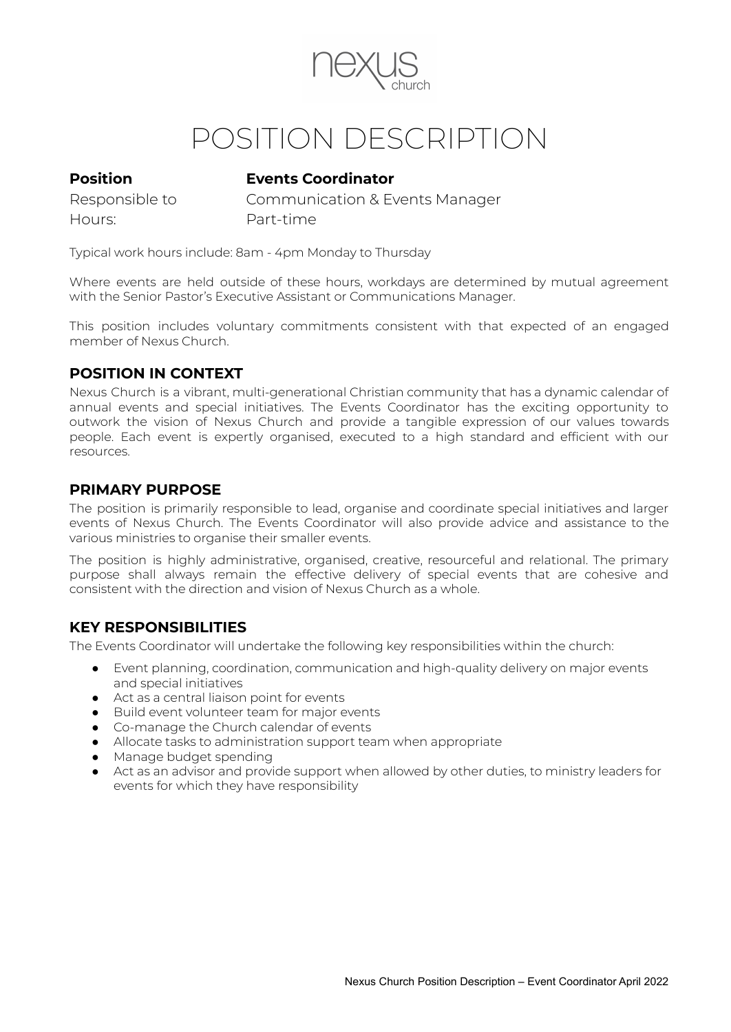

# POSITION DESCRIPTION

# **Position Events Coordinator**

Hours: Part-time

Responsible to Communication & Events Manager

Typical work hours include: 8am - 4pm Monday to Thursday

Where events are held outside of these hours, workdays are determined by mutual agreement with the Senior Pastor's Executive Assistant or Communications Manager.

This position includes voluntary commitments consistent with that expected of an engaged member of Nexus Church.

# **POSITION IN CONTEXT**

Nexus Church is a vibrant, multi-generational Christian community that has a dynamic calendar of annual events and special initiatives. The Events Coordinator has the exciting opportunity to outwork the vision of Nexus Church and provide a tangible expression of our values towards people. Each event is expertly organised, executed to a high standard and efficient with our resources.

## **PRIMARY PURPOSE**

The position is primarily responsible to lead, organise and coordinate special initiatives and larger events of Nexus Church. The Events Coordinator will also provide advice and assistance to the various ministries to organise their smaller events.

The position is highly administrative, organised, creative, resourceful and relational. The primary purpose shall always remain the effective delivery of special events that are cohesive and consistent with the direction and vision of Nexus Church as a whole.

# **KEY RESPONSIBILITIES**

The Events Coordinator will undertake the following key responsibilities within the church:

- Event planning, coordination, communication and high-quality delivery on major events and special initiatives
- Act as a central liaison point for events
- Build event volunteer team for major events
- Co-manage the Church calendar of events
- Allocate tasks to administration support team when appropriate
- Manage budget spending
- Act as an advisor and provide support when allowed by other duties, to ministry leaders for events for which they have responsibility